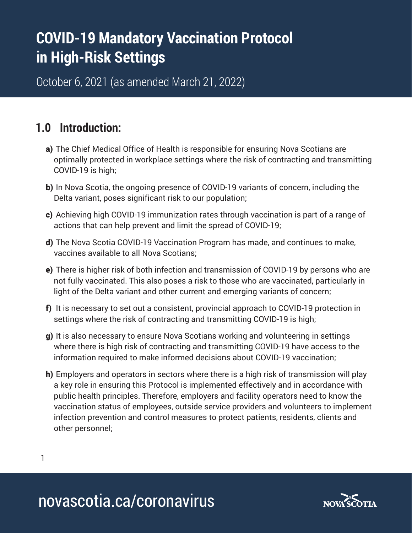# **COVID-19 Mandatory Vaccination Protocol in High-Risk Settings**

October 6, 2021 (as amended March 21, 2022)

## **1.0 Introduction:**

- a) The Chief Medical Office of Health is responsible for ensuring Nova Scotians are optimally protected in workplace settings where the risk of contracting and transmitting COVID-19 is high;
- b) In Nova Scotia, the ongoing presence of COVID-19 variants of concern, including the Delta variant, poses significant risk to our population;
- c) Achieving high COVID-19 immunization rates through vaccination is part of a range of actions that can help prevent and limit the spread of COVID-19;
- d) The Nova Scotia COVID-19 Vaccination Program has made, and continues to make, vaccines available to all Nova Scotians;
- e) There is higher risk of both infection and transmission of COVID-19 by persons who are not fully vaccinated. This also poses a risk to those who are vaccinated, particularly in light of the Delta variant and other current and emerging variants of concern;
- f) It is necessary to set out a consistent, provincial approach to COVID-19 protection in settings where the risk of contracting and transmitting COVID-19 is high;
- g) It is also necessary to ensure Nova Scotians working and volunteering in settings where there is high risk of contracting and transmitting COVID-19 have access to the information required to make informed decisions about COVID-19 vaccination;
- h) Employers and operators in sectors where there is a high risk of transmission will play a key role in ensuring this Protocol is implemented effectively and in accordance with public health principles. Therefore, employers and facility operators need to know the vaccination status of employees, outside service providers and volunteers to implement infection prevention and control measures to protect patients, residents, clients and other personnel;

1

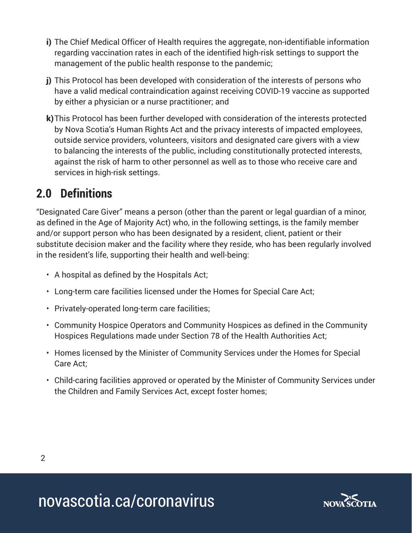- i) The Chief Medical Officer of Health requires the aggregate, non-identifiable information regarding vaccination rates in each of the identified high-risk settings to support the management of the public health response to the pandemic;
- j) This Protocol has been developed with consideration of the interests of persons who have a valid medical contraindication against receiving COVID-19 vaccine as supported by either a physician or a nurse practitioner; and
- k)This Protocol has been further developed with consideration of the interests protected by Nova Scotia's Human Rights Act and the privacy interests of impacted employees, outside service providers, volunteers, visitors and designated care givers with a view to balancing the interests of the public, including constitutionally protected interests, against the risk of harm to other personnel as well as to those who receive care and services in high-risk settings.

# **2.0 Definitions**

"Designated Care Giver" means a person (other than the parent or legal guardian of a minor, as defined in the Age of Majority Act) who, in the following settings, is the family member and/or support person who has been designated by a resident, client, patient or their substitute decision maker and the facility where they reside, who has been regularly involved in the resident's life, supporting their health and well-being:

- A hospital as defined by the Hospitals Act;
- Long-term care facilities licensed under the Homes for Special Care Act;
- Privately-operated long-term care facilities;
- Community Hospice Operators and Community Hospices as defined in the Community Hospices Regulations made under Section 78 of the Health Authorities Act;
- Homes licensed by the Minister of Community Services under the Homes for Special Care Act;
- Child-caring facilities approved or operated by the Minister of Community Services under the Children and Family Services Act, except foster homes;

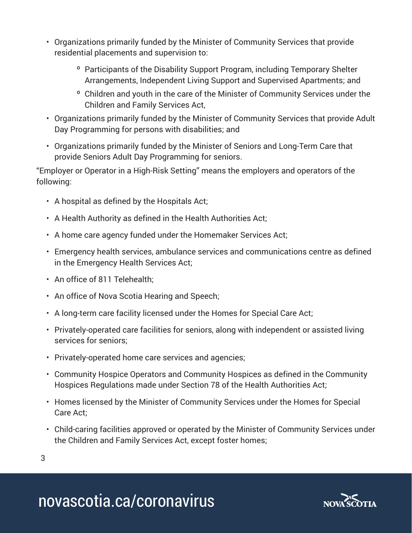- Organizations primarily funded by the Minister of Community Services that provide residential placements and supervision to:
	- º Participants of the Disability Support Program, including Temporary Shelter Arrangements, Independent Living Support and Supervised Apartments; and
	- º Children and youth in the care of the Minister of Community Services under the Children and Family Services Act,
- Organizations primarily funded by the Minister of Community Services that provide Adult Day Programming for persons with disabilities; and
- Organizations primarily funded by the Minister of Seniors and Long-Term Care that provide Seniors Adult Day Programming for seniors.

"Employer or Operator in a High-Risk Setting" means the employers and operators of the following:

- A hospital as defined by the Hospitals Act;
- A Health Authority as defined in the Health Authorities Act;
- A home care agency funded under the Homemaker Services Act;
- Emergency health services, ambulance services and communications centre as defined in the Emergency Health Services Act;
- An office of 811 Telehealth;
- An office of Nova Scotia Hearing and Speech;
- A long-term care facility licensed under the Homes for Special Care Act;
- Privately-operated care facilities for seniors, along with independent or assisted living services for seniors;
- Privately-operated home care services and agencies;
- Community Hospice Operators and Community Hospices as defined in the Community Hospices Regulations made under Section 78 of the Health Authorities Act;
- Homes licensed by the Minister of Community Services under the Homes for Special Care Act;
- Child-caring facilities approved or operated by the Minister of Community Services under the Children and Family Services Act, except foster homes;

3

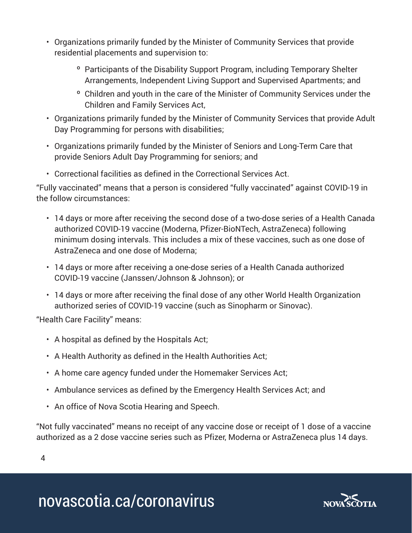- Organizations primarily funded by the Minister of Community Services that provide residential placements and supervision to:
	- º Participants of the Disability Support Program, including Temporary Shelter Arrangements, Independent Living Support and Supervised Apartments; and
	- º Children and youth in the care of the Minister of Community Services under the Children and Family Services Act,
- Organizations primarily funded by the Minister of Community Services that provide Adult Day Programming for persons with disabilities;
- Organizations primarily funded by the Minister of Seniors and Long-Term Care that provide Seniors Adult Day Programming for seniors; and
- Correctional facilities as defined in the Correctional Services Act.

"Fully vaccinated" means that a person is considered "fully vaccinated" against COVID-19 in the follow circumstances:

- 14 days or more after receiving the second dose of a two-dose series of a Health Canada authorized COVID-19 vaccine (Moderna, Pfizer-BioNTech, AstraZeneca) following minimum dosing intervals. This includes a mix of these vaccines, such as one dose of AstraZeneca and one dose of Moderna;
- 14 days or more after receiving a one-dose series of a Health Canada authorized COVID-19 vaccine (Janssen/Johnson & Johnson); or
- 14 days or more after receiving the final dose of any other World Health Organization authorized series of COVID-19 vaccine (such as Sinopharm or Sinovac).

"Health Care Facility" means:

- A hospital as defined by the Hospitals Act;
- A Health Authority as defined in the Health Authorities Act;
- A home care agency funded under the Homemaker Services Act;
- Ambulance services as defined by the Emergency Health Services Act; and
- An office of Nova Scotia Hearing and Speech.

"Not fully vaccinated" means no receipt of any vaccine dose or receipt of 1 dose of a vaccine authorized as a 2 dose vaccine series such as Pfizer, Moderna or AstraZeneca plus 14 days.

4

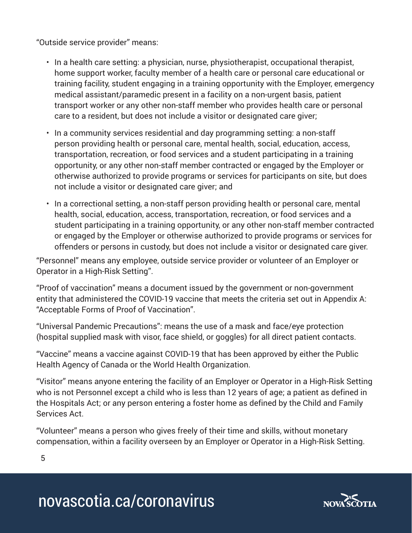"Outside service provider" means:

- In a health care setting: a physician, nurse, physiotherapist, occupational therapist, home support worker, faculty member of a health care or personal care educational or training facility, student engaging in a training opportunity with the Employer, emergency medical assistant/paramedic present in a facility on a non-urgent basis, patient transport worker or any other non-staff member who provides health care or personal care to a resident, but does not include a visitor or designated care giver;
- In a community services residential and day programming setting: a non-staff person providing health or personal care, mental health, social, education, access, transportation, recreation, or food services and a student participating in a training opportunity, or any other non-staff member contracted or engaged by the Employer or otherwise authorized to provide programs or services for participants on site, but does not include a visitor or designated care giver; and
- In a correctional setting, a non-staff person providing health or personal care, mental health, social, education, access, transportation, recreation, or food services and a student participating in a training opportunity, or any other non-staff member contracted or engaged by the Employer or otherwise authorized to provide programs or services for offenders or persons in custody, but does not include a visitor or designated care giver.

"Personnel" means any employee, outside service provider or volunteer of an Employer or Operator in a High-Risk Setting".

"Proof of vaccination" means a document issued by the government or non-government entity that administered the COVID-19 vaccine that meets the criteria set out in Appendix A: "Acceptable Forms of Proof of Vaccination".

"Universal Pandemic Precautions": means the use of a mask and face/eye protection (hospital supplied mask with visor, face shield, or goggles) for all direct patient contacts.

"Vaccine" means a vaccine against COVID-19 that has been approved by either the Public Health Agency of Canada or the World Health Organization.

"Visitor" means anyone entering the facility of an Employer or Operator in a High-Risk Setting who is not Personnel except a child who is less than 12 years of age; a patient as defined in the Hospitals Act; or any person entering a foster home as defined by the Child and Family Services Act.

"Volunteer" means a person who gives freely of their time and skills, without monetary compensation, within a facility overseen by an Employer or Operator in a High-Risk Setting.

5

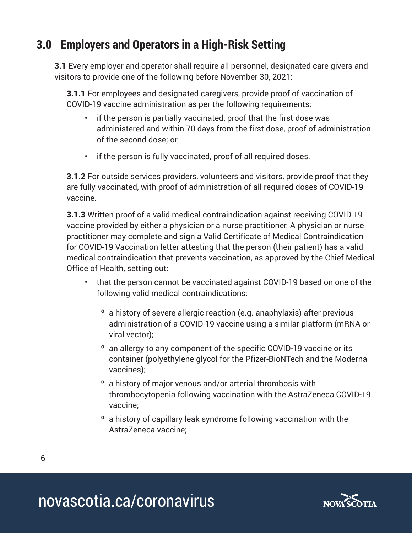# **3.0 Employers and Operators in a High-Risk Setting**

**3.1** Every employer and operator shall require all personnel, designated care givers and visitors to provide one of the following before November 30, 2021:

3.1.1 For employees and designated caregivers, provide proof of vaccination of COVID-19 vaccine administration as per the following requirements:

- if the person is partially vaccinated, proof that the first dose was administered and within 70 days from the first dose, proof of administration of the second dose; or
- if the person is fully vaccinated, proof of all required doses.

**3.1.2** For outside services providers, volunteers and visitors, provide proof that they are fully vaccinated, with proof of administration of all required doses of COVID-19 vaccine.

3.1.3 Written proof of a valid medical contraindication against receiving COVID-19 vaccine provided by either a physician or a nurse practitioner. A physician or nurse practitioner may complete and sign a Valid Certificate of Medical Contraindication for COVID-19 Vaccination letter attesting that the person (their patient) has a valid medical contraindication that prevents vaccination, as approved by the Chief Medical Office of Health, setting out:

- that the person cannot be vaccinated against COVID-19 based on one of the following valid medical contraindications:
	- º a history of severe allergic reaction (e.g. anaphylaxis) after previous administration of a COVID-19 vaccine using a similar platform (mRNA or viral vector);
	- <sup>o</sup> an allergy to any component of the specific COVID-19 vaccine or its container (polyethylene glycol for the Pfizer-BioNTech and the Moderna vaccines);
	- º a history of major venous and/or arterial thrombosis with thrombocytopenia following vaccination with the AstraZeneca COVID-19 vaccine;
	- º a history of capillary leak syndrome following vaccination with the AstraZeneca vaccine;

6

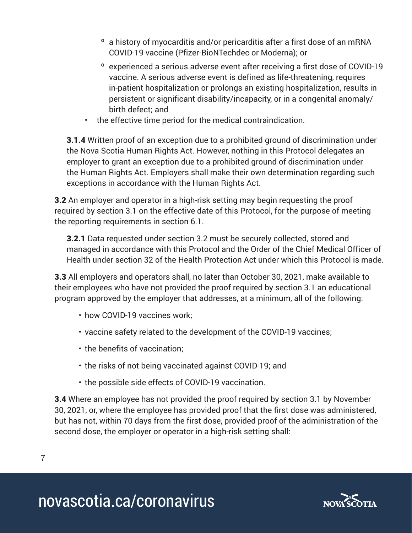- º a history of myocarditis and/or pericarditis after a first dose of an mRNA COVID-19 vaccine (Pfizer-BioNTechdec or Moderna); or
- º experienced a serious adverse event after receiving a first dose of COVID-19 vaccine. A serious adverse event is defined as life-threatening, requires in-patient hospitalization or prolongs an existing hospitalization, results in persistent or significant disability/incapacity, or in a congenital anomaly/ birth defect; and
- the effective time period for the medical contraindication.

**3.1.4** Written proof of an exception due to a prohibited ground of discrimination under the Nova Scotia Human Rights Act. However, nothing in this Protocol delegates an employer to grant an exception due to a prohibited ground of discrimination under the Human Rights Act. Employers shall make their own determination regarding such exceptions in accordance with the Human Rights Act.

3.2 An employer and operator in a high-risk setting may begin requesting the proof required by section 3.1 on the effective date of this Protocol, for the purpose of meeting the reporting requirements in section 6.1.

3.2.1 Data requested under section 3.2 must be securely collected, stored and managed in accordance with this Protocol and the Order of the Chief Medical Officer of Health under section 32 of the Health Protection Act under which this Protocol is made.

3.3 All employers and operators shall, no later than October 30, 2021, make available to their employees who have not provided the proof required by section 3.1 an educational program approved by the employer that addresses, at a minimum, all of the following:

- how COVID-19 vaccines work;
- vaccine safety related to the development of the COVID-19 vaccines;
- the benefits of vaccination;
- the risks of not being vaccinated against COVID-19; and
- the possible side effects of COVID-19 vaccination.

3.4 Where an employee has not provided the proof required by section 3.1 by November 30, 2021, or, where the employee has provided proof that the first dose was administered, but has not, within 70 days from the first dose, provided proof of the administration of the second dose, the employer or operator in a high-risk setting shall:

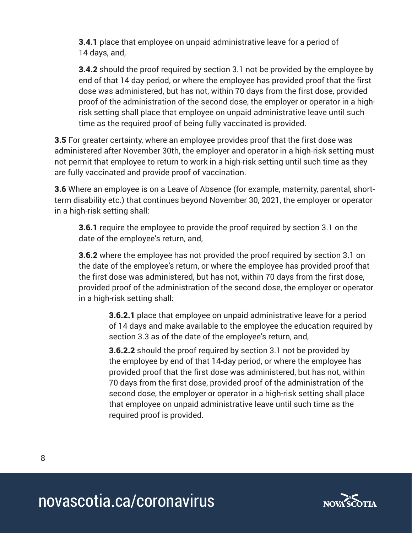3.4.1 place that employee on unpaid administrative leave for a period of 14 days, and,

**3.4.2** should the proof required by section 3.1 not be provided by the employee by end of that 14 day period, or where the employee has provided proof that the first dose was administered, but has not, within 70 days from the first dose, provided proof of the administration of the second dose, the employer or operator in a highrisk setting shall place that employee on unpaid administrative leave until such time as the required proof of being fully vaccinated is provided.

**3.5** For greater certainty, where an employee provides proof that the first dose was administered after November 30th, the employer and operator in a high-risk setting must not permit that employee to return to work in a high-risk setting until such time as they are fully vaccinated and provide proof of vaccination.

3.6 Where an employee is on a Leave of Absence (for example, maternity, parental, shortterm disability etc.) that continues beyond November 30, 2021, the employer or operator in a high-risk setting shall:

**3.6.1** require the employee to provide the proof required by section 3.1 on the date of the employee's return, and,

**3.6.2** where the employee has not provided the proof required by section 3.1 on the date of the employee's return, or where the employee has provided proof that the first dose was administered, but has not, within 70 days from the first dose, provided proof of the administration of the second dose, the employer or operator in a high-risk setting shall:

3.6.2.1 place that employee on unpaid administrative leave for a period of 14 days and make available to the employee the education required by section 3.3 as of the date of the employee's return, and,

**3.6.2.2** should the proof required by section 3.1 not be provided by the employee by end of that 14-day period, or where the employee has provided proof that the first dose was administered, but has not, within 70 days from the first dose, provided proof of the administration of the second dose, the employer or operator in a high-risk setting shall place that employee on unpaid administrative leave until such time as the required proof is provided.

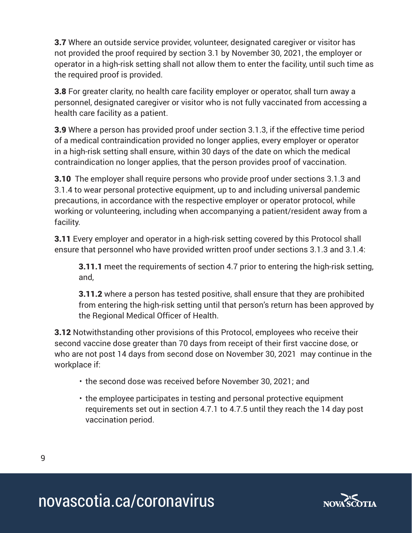**3.7** Where an outside service provider, volunteer, designated caregiver or visitor has not provided the proof required by section 3.1 by November 30, 2021, the employer or operator in a high-risk setting shall not allow them to enter the facility, until such time as the required proof is provided.

**3.8** For greater clarity, no health care facility employer or operator, shall turn away a personnel, designated caregiver or visitor who is not fully vaccinated from accessing a health care facility as a patient.

3.9 Where a person has provided proof under section 3.1.3, if the effective time period of a medical contraindication provided no longer applies, every employer or operator in a high-risk setting shall ensure, within 30 days of the date on which the medical contraindication no longer applies, that the person provides proof of vaccination.

**3.10** The employer shall require persons who provide proof under sections 3.1.3 and 3.1.4 to wear personal protective equipment, up to and including universal pandemic precautions, in accordance with the respective employer or operator protocol, while working or volunteering, including when accompanying a patient/resident away from a facility.

**3.11** Every employer and operator in a high-risk setting covered by this Protocol shall ensure that personnel who have provided written proof under sections 3.1.3 and 3.1.4:

**3.11.1** meet the requirements of section 4.7 prior to entering the high-risk setting, and,

**3.11.2** where a person has tested positive, shall ensure that they are prohibited from entering the high-risk setting until that person's return has been approved by the Regional Medical Officer of Health.

**3.12** Notwithstanding other provisions of this Protocol, employees who receive their second vaccine dose greater than 70 days from receipt of their first vaccine dose, or who are not post 14 days from second dose on November 30, 2021 may continue in the workplace if:

- the second dose was received before November 30, 2021; and
- the employee participates in testing and personal protective equipment requirements set out in section 4.7.1 to 4.7.5 until they reach the 14 day post vaccination period.

9

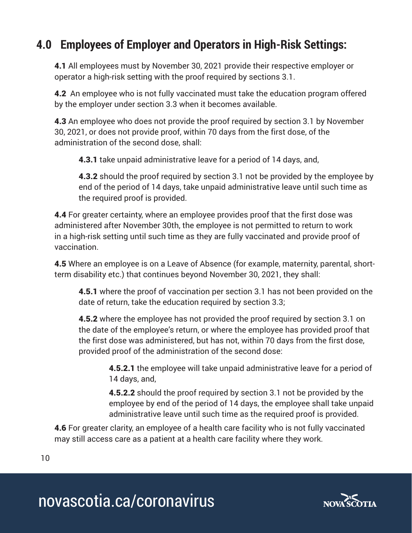# **4.0 Employees of Employer and Operators in High-Risk Settings:**

4.1 All employees must by November 30, 2021 provide their respective employer or operator a high-risk setting with the proof required by sections 3.1.

**4.2** An employee who is not fully vaccinated must take the education program offered by the employer under section 3.3 when it becomes available.

4.3 An employee who does not provide the proof required by section 3.1 by November 30, 2021, or does not provide proof, within 70 days from the first dose, of the administration of the second dose, shall:

4.3.1 take unpaid administrative leave for a period of 14 days, and,

**4.3.2** should the proof required by section 3.1 not be provided by the employee by end of the period of 14 days, take unpaid administrative leave until such time as the required proof is provided.

4.4 For greater certainty, where an employee provides proof that the first dose was administered after November 30th, the employee is not permitted to return to work in a high-risk setting until such time as they are fully vaccinated and provide proof of vaccination.

4.5 Where an employee is on a Leave of Absence (for example, maternity, parental, shortterm disability etc.) that continues beyond November 30, 2021, they shall:

4.5.1 where the proof of vaccination per section 3.1 has not been provided on the date of return, take the education required by section 3.3;

**4.5.2** where the employee has not provided the proof required by section 3.1 on the date of the employee's return, or where the employee has provided proof that the first dose was administered, but has not, within 70 days from the first dose, provided proof of the administration of the second dose:

> **4.5.2.1** the employee will take unpaid administrative leave for a period of 14 days, and,

> **4.5.2.2** should the proof required by section 3.1 not be provided by the employee by end of the period of 14 days, the employee shall take unpaid administrative leave until such time as the required proof is provided.

**4.6** For greater clarity, an employee of a health care facility who is not fully vaccinated may still access care as a patient at a health care facility where they work.

10

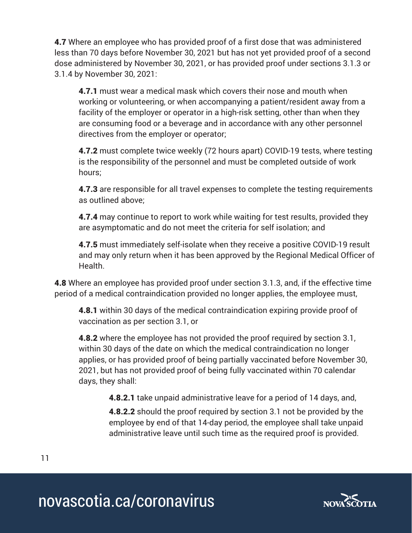**4.7** Where an employee who has provided proof of a first dose that was administered less than 70 days before November 30, 2021 but has not yet provided proof of a second dose administered by November 30, 2021, or has provided proof under sections 3.1.3 or 3.1.4 by November 30, 2021:

4.7.1 must wear a medical mask which covers their nose and mouth when working or volunteering, or when accompanying a patient/resident away from a facility of the employer or operator in a high-risk setting, other than when they are consuming food or a beverage and in accordance with any other personnel directives from the employer or operator;

**4.7.2** must complete twice weekly (72 hours apart) COVID-19 tests, where testing is the responsibility of the personnel and must be completed outside of work hours;

**4.7.3** are responsible for all travel expenses to complete the testing requirements as outlined above;

**4.7.4** may continue to report to work while waiting for test results, provided they are asymptomatic and do not meet the criteria for self isolation; and

4.7.5 must immediately self-isolate when they receive a positive COVID-19 result and may only return when it has been approved by the Regional Medical Officer of Health.

4.8 Where an employee has provided proof under section 3.1.3, and, if the effective time period of a medical contraindication provided no longer applies, the employee must,

**4.8.1** within 30 days of the medical contraindication expiring provide proof of vaccination as per section 3.1, or

**4.8.2** where the employee has not provided the proof required by section 3.1, within 30 days of the date on which the medical contraindication no longer applies, or has provided proof of being partially vaccinated before November 30, 2021, but has not provided proof of being fully vaccinated within 70 calendar days, they shall:

4.8.2.1 take unpaid administrative leave for a period of 14 days, and,

**4.8.2.2** should the proof required by section 3.1 not be provided by the employee by end of that 14-day period, the employee shall take unpaid administrative leave until such time as the required proof is provided.

11

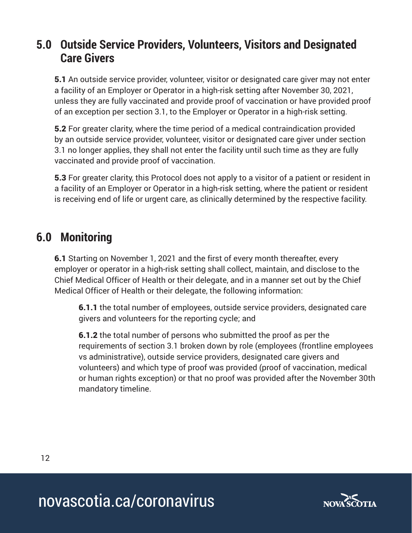### **5.0 Outside Service Providers, Volunteers, Visitors and Designated Care Givers**

5.1 An outside service provider, volunteer, visitor or designated care giver may not enter a facility of an Employer or Operator in a high-risk setting after November 30, 2021, unless they are fully vaccinated and provide proof of vaccination or have provided proof of an exception per section 3.1, to the Employer or Operator in a high-risk setting.

5.2 For greater clarity, where the time period of a medical contraindication provided by an outside service provider, volunteer, visitor or designated care giver under section 3.1 no longer applies, they shall not enter the facility until such time as they are fully vaccinated and provide proof of vaccination.

**5.3** For greater clarity, this Protocol does not apply to a visitor of a patient or resident in a facility of an Employer or Operator in a high-risk setting, where the patient or resident is receiving end of life or urgent care, as clinically determined by the respective facility.

## **6.0 Monitoring**

**6.1** Starting on November 1, 2021 and the first of every month thereafter, every employer or operator in a high-risk setting shall collect, maintain, and disclose to the Chief Medical Officer of Health or their delegate, and in a manner set out by the Chief Medical Officer of Health or their delegate, the following information:

6.1.1 the total number of employees, outside service providers, designated care givers and volunteers for the reporting cycle; and

6.1.2 the total number of persons who submitted the proof as per the requirements of section 3.1 broken down by role (employees (frontline employees vs administrative), outside service providers, designated care givers and volunteers) and which type of proof was provided (proof of vaccination, medical or human rights exception) or that no proof was provided after the November 30th mandatory timeline.

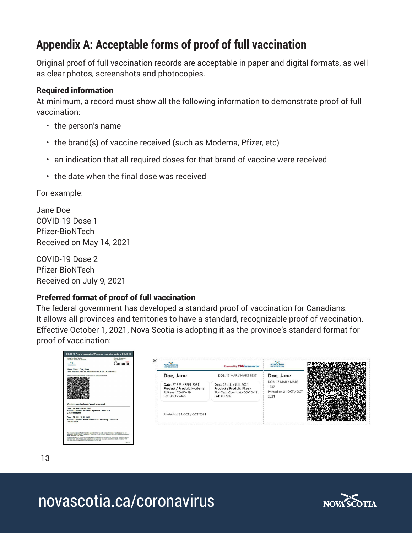# **Appendix A: Acceptable forms of proof of full vaccination**

Original proof of full vaccination records are acceptable in paper and digital formats, as well as clear photos, screenshots and photocopies.

#### Required information

At minimum, a record must show all the following information to demonstrate proof of full vaccination:

- the person's name
- the brand(s) of vaccine received (such as Moderna, Pfizer, etc)
- an indication that all required doses for that brand of vaccine were received
- the date when the final dose was received

For example:

Jane Doe COVID-19 Dose 1 Pfizer-BioNTech Received on May 14, 2021

COVID-19 Dose 2 Pfizer-BioNTech Received on July 9, 2021

### Preferred format of proof of full vaccination

The federal government has developed a standard proof of vaccination for Canadians. It allows all provinces and territories to have a standard, recognizable proof of vaccination. Effective October 1, 2021, Nova Scotia is adopting it as the province's standard format for proof of vaccination:

| Issuing Province / Tembory<br>Province / Tembore de défietence<br>Country of Issuance /<br>Canadä<br><b>MARKETIN</b><br><b>MEYELD AVIABLE</b>                                                                                                                                                                                                                                                                                                                                                       | $\propto$<br>NOVA SCOTTA<br><b>NOUVELLE figures</b>                                           | Powered By CANImmunize                                                                                      | NOVA SCOTTA<br><b>NOUVELLE ÉCONS</b>                          |  |
|-----------------------------------------------------------------------------------------------------------------------------------------------------------------------------------------------------------------------------------------------------------------------------------------------------------------------------------------------------------------------------------------------------------------------------------------------------------------------------------------------------|-----------------------------------------------------------------------------------------------|-------------------------------------------------------------------------------------------------------------|---------------------------------------------------------------|--|
| Name / Nom : Doe, Jane<br>Date of birth / Date de naissance : 17 MAR / MARS 1937<br>(th Cards QR Code / Code QR de la carte Santé SMART)                                                                                                                                                                                                                                                                                                                                                            | Doe, Jane                                                                                     | DOB: 17 MAR / MARS 1937                                                                                     | Doe, Jane                                                     |  |
|                                                                                                                                                                                                                                                                                                                                                                                                                                                                                                     | Date: 27 SEP / SEPT 2021<br>Product / Produit: Moderna<br>Spikevax COVID-19<br>Lot: 300042460 | Date: 28 JUL / JUIL 2021<br>Product / Produit: Pfizer-<br>BioNTech Comirnaty COVID-19<br><b>Lot: EL1406</b> | DOB: 17 MAR / MARS<br>1937<br>Printed on 21 OCT / OCT<br>2021 |  |
| Vaccines administered / Vaccins reçus : 2<br>Date: 27 SEP / SEPT 2021<br>Product / Produit : Moderna Spikevax COVID-19<br>Lot: 300042460<br>Date: 28 JUL / JUIL 2021<br>Product / Produit : Pfizer-BloNTech Comirnaty COVID-19<br><b>Lot: EL1406</b>                                                                                                                                                                                                                                                | Printed on 21 OCT / OCT 2021                                                                  |                                                                                                             |                                                               |  |
| This decument contains confidential information that is intended only for our by the named instituted or as authorized by law. Any<br>unauthorized disclosure, suppling or atalitection of the sometic is directly probabled. Das<br>ensure the GR code is not created<br>Ce document contient des renseignements confidentiels qui sont destinés uniquement à l'usage de la personne nommée ou à l'usage<br>2027, 22 or dealersed will alle. assume your oue fir code OR or final aga.<br>Page 1/1 |                                                                                               |                                                                                                             |                                                               |  |

13

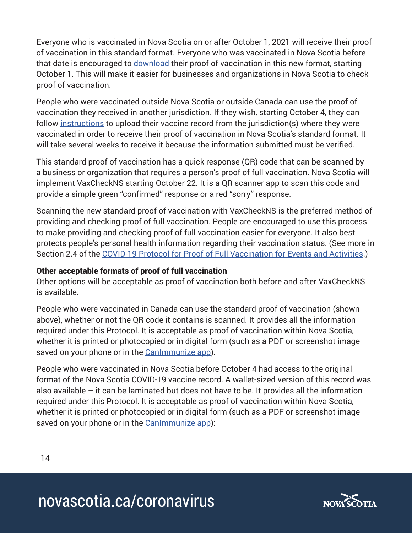Everyone who is vaccinated in Nova Scotia on or after October 1, 2021 will receive their proof of vaccination in this standard format. Everyone who was vaccinated in Nova Scotia before that date is encouraged to [download](https://novascotia.flow.canimmunize.ca/en/portal) their proof of vaccination in this new format, starting October 1. This will make it easier for businesses and organizations in Nova Scotia to check proof of vaccination.

People who were vaccinated outside Nova Scotia or outside Canada can use the proof of vaccination they received in another jurisdiction. If they wish, starting October 4, they can follow [instructions](https://novascotia.ca/coronavirus/proof-of-full-vaccination-policy/) to upload their vaccine record from the jurisdiction(s) where they were vaccinated in order to receive their proof of vaccination in Nova Scotia's standard format. It will take several weeks to receive it because the information submitted must be verified.

This standard proof of vaccination has a quick response (QR) code that can be scanned by a business or organization that requires a person's proof of full vaccination. Nova Scotia will implement VaxCheckNS starting October 22. It is a QR scanner app to scan this code and provide a simple green "confirmed" response or a red "sorry" response.

Scanning the new standard proof of vaccination with VaxCheckNS is the preferred method of providing and checking proof of full vaccination. People are encouraged to use this process to make providing and checking proof of full vaccination easier for everyone. It also best protects people's personal health information regarding their vaccination status. (See more in Section 2.4 of the [COVID-19 Protocol for Proof of Full Vaccination for Events and Activities.](https://novascotia.ca/coronavirus/docs/COVID-19-Protocol-for-proof-full-vaccination-events-activities-en.pdf))

### Other acceptable formats of proof of full vaccination

Other options will be acceptable as proof of vaccination both before and after VaxCheckNS is available.

People who were vaccinated in Canada can use the standard proof of vaccination (shown above), whether or not the QR code it contains is scanned. It provides all the information required under this Protocol. It is acceptable as proof of vaccination within Nova Scotia, whether it is printed or photocopied or in digital form (such as a PDF or screenshot image saved on your phone or in the Canimmunize app).

People who were vaccinated in Nova Scotia before October 4 had access to the original format of the Nova Scotia COVID-19 vaccine record. A wallet-sized version of this record was also available – it can be laminated but does not have to be. It provides all the information required under this Protocol. It is acceptable as proof of vaccination within Nova Scotia, whether it is printed or photocopied or in digital form (such as a PDF or screenshot image saved on your phone or in the Canimmunize app):

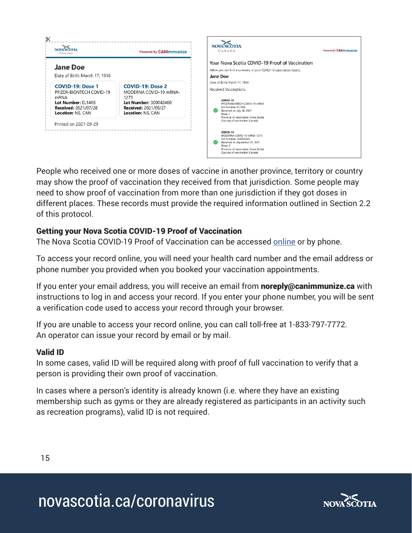

People who received one or more doses of vaccine in another province, territory or country may show the proof of vaccination they received from that jurisdiction. Some people may need to show proof of vaccination from more than one jurisdiction if they got doses in different places. These records must provide the required information outlined in Section 2.2 of this protocol.

### Getting your Nova Scotia COVID-19 Proof of Vaccination

The Nova Scotia COVID-19 Proof of Vaccination can be accessed [online](https://novascotia.flow.canimmunize.ca/en/portal) or by phone.

To access your record online, you will need your health card number and the email address or phone number you provided when you booked your vaccination appointments.

If you enter your email address, you will receive an email from **noreply@canimmunize.ca** with instructions to log in and access your record. If you enter your phone number, you will be sent a verification code used to access your record through your browser.

If you are unable to access your record online, you can call toll-free at 1-833-797-7772. An operator can issue your record by email or by mail.

### Valid ID

In some cases, valid ID will be required along with proof of full vaccination to verify that a person is providing their own proof of vaccination.

In cases where a person's identity is already known (i.e. where they have an existing membership such as gyms or they are already registered as participants in an activity such as recreation programs), valid ID is not required.

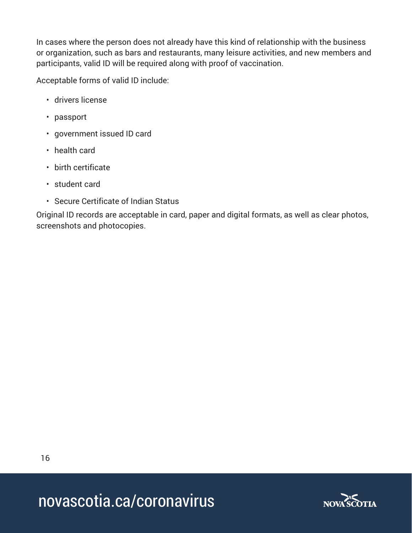In cases where the person does not already have this kind of relationship with the business or organization, such as bars and restaurants, many leisure activities, and new members and participants, valid ID will be required along with proof of vaccination.

Acceptable forms of valid ID include:

- drivers license
- passport
- government issued ID card
- health card
- birth certificate
- student card
- Secure Certificate of Indian Status

Original ID records are acceptable in card, paper and digital formats, as well as clear photos, screenshots and photocopies.

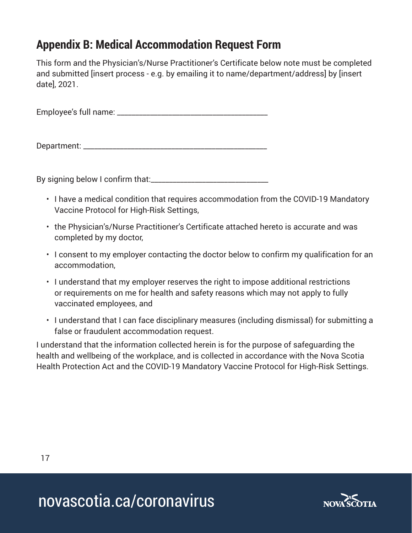# **Appendix B: Medical Accommodation Request Form**

This form and the Physician's/Nurse Practitioner's Certificate below note must be completed and submitted [insert process - e.g. by emailing it to name/department/address] by [insert date], 2021.

Employee's full name: \_\_\_\_\_\_\_\_\_\_\_\_\_\_\_\_\_\_\_\_\_\_\_\_\_\_\_\_\_\_\_\_\_\_\_\_\_\_\_\_\_

Department: \_\_\_\_\_\_\_\_\_\_\_\_\_\_\_\_\_\_\_\_\_\_\_\_\_\_\_\_\_\_\_\_\_\_\_\_\_\_\_\_\_\_\_\_\_\_\_\_\_\_

By signing below I confirm that:\_\_\_\_\_\_\_\_\_\_\_\_\_\_\_\_\_\_\_\_\_\_\_\_\_\_\_\_\_\_\_\_

- I have a medical condition that requires accommodation from the COVID-19 Mandatory Vaccine Protocol for High-Risk Settings,
- the Physician's/Nurse Practitioner's Certificate attached hereto is accurate and was completed by my doctor,
- I consent to my employer contacting the doctor below to confirm my qualification for an accommodation,
- I understand that my employer reserves the right to impose additional restrictions or requirements on me for health and safety reasons which may not apply to fully vaccinated employees, and
- I understand that I can face disciplinary measures (including dismissal) for submitting a false or fraudulent accommodation request.

I understand that the information collected herein is for the purpose of safeguarding the health and wellbeing of the workplace, and is collected in accordance with the Nova Scotia Health Protection Act and the COVID-19 Mandatory Vaccine Protocol for High-Risk Settings.